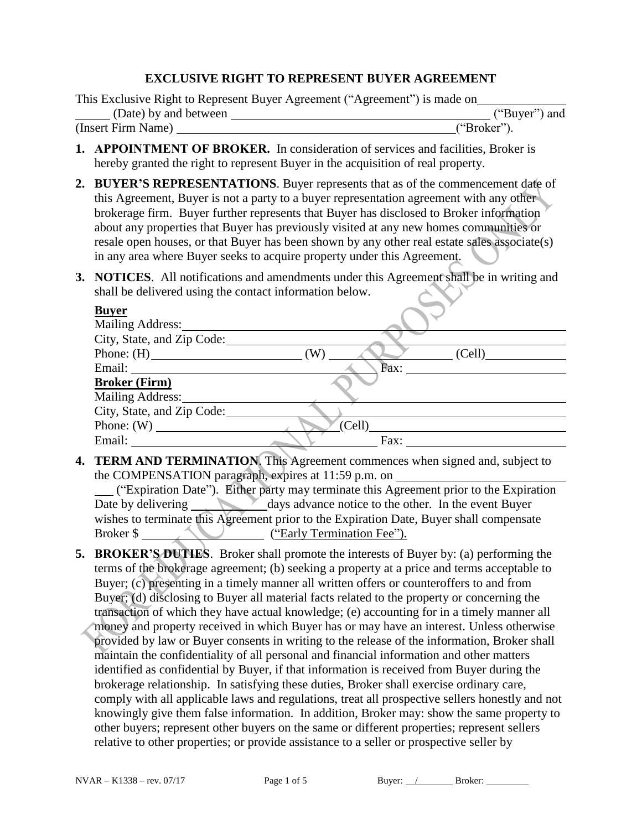## **EXCLUSIVE RIGHT TO REPRESENT BUYER AGREEMENT**

This Exclusive Right to Represent Buyer Agreement ("Agreement") is made on

|                       |  | $\sim$ $\sim$ $\sim$ |  |               |
|-----------------------|--|----------------------|--|---------------|
| (Date) by and between |  |                      |  | ("Buyer") and |
| (Insert Firm Name)    |  | ("Broker"            |  |               |

- **1. APPOINTMENT OF BROKER.** In consideration of services and facilities, Broker is hereby granted the right to represent Buyer in the acquisition of real property.
- **2. BUYER'S REPRESENTATIONS**. Buyer represents that as of the commencement date of this Agreement, Buyer is not a party to a buyer representation agreement with any other brokerage firm. Buyer further represents that Buyer has disclosed to Broker information about any properties that Buyer has previously visited at any new homes communities or resale open houses, or that Buyer has been shown by any other real estate sales associate(s) in any area where Buyer seeks to acquire property under this Agreement.
- **3. NOTICES**. All notifications and amendments under this Agreement shall be in writing and shall be delivered using the contact information below.

| <b>Buyer</b>               |               |
|----------------------------|---------------|
| <b>Mailing Address:</b>    |               |
| City, State, and Zip Code: |               |
| Phone: $(H)$               | (W)<br>(Cell) |
| Email:                     | Fáx:          |
| <b>Broker (Firm)</b>       |               |
| <b>Mailing Address:</b>    |               |
| City, State, and Zip Code: |               |
| Phone: $(W)$               | (Cell)        |
| Email:                     | Fax:          |
|                            |               |

**4. TERM AND TERMINATION**. This Agreement commences when signed and, subject to the COMPENSATION paragraph, expires at 11:59 p.m. on

("Expiration Date"). Either party may terminate this Agreement prior to the Expiration Date by delivering days advance notice to the other. In the event Buyer wishes to terminate this Agreement prior to the Expiration Date, Buyer shall compensate Broker \$ ("Early Termination Fee").

**5. BROKER'S DUTIES**. Broker shall promote the interests of Buyer by: (a) performing the terms of the brokerage agreement; (b) seeking a property at a price and terms acceptable to Buyer; (c) presenting in a timely manner all written offers or counteroffers to and from Buyer; (d) disclosing to Buyer all material facts related to the property or concerning the transaction of which they have actual knowledge; (e) accounting for in a timely manner all money and property received in which Buyer has or may have an interest. Unless otherwise provided by law or Buyer consents in writing to the release of the information, Broker shall maintain the confidentiality of all personal and financial information and other matters identified as confidential by Buyer, if that information is received from Buyer during the brokerage relationship. In satisfying these duties, Broker shall exercise ordinary care, comply with all applicable laws and regulations, treat all prospective sellers honestly and not knowingly give them false information. In addition, Broker may: show the same property to other buyers; represent other buyers on the same or different properties; represent sellers relative to other properties; or provide assistance to a seller or prospective seller by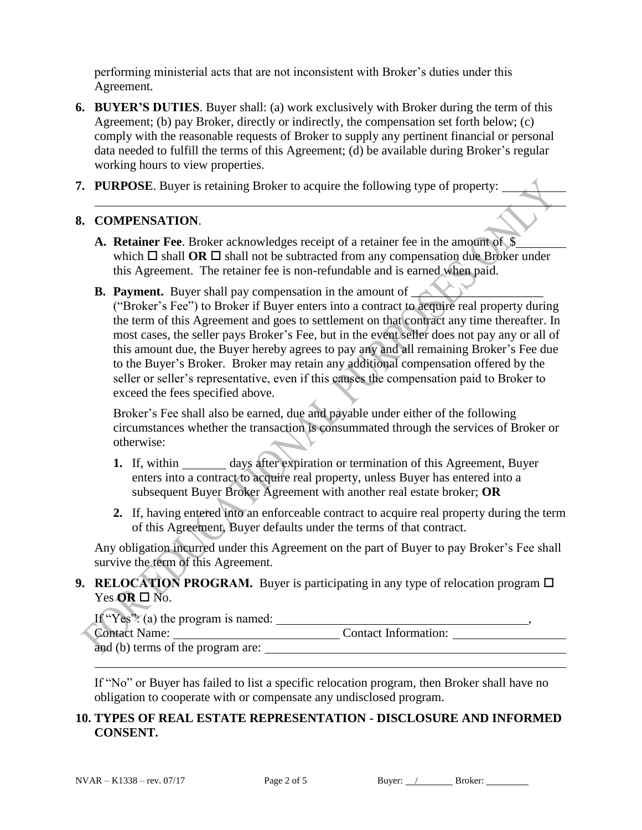performing ministerial acts that are not inconsistent with Broker's duties under this Agreement.

- **6. BUYER'S DUTIES**. Buyer shall: (a) work exclusively with Broker during the term of this Agreement; (b) pay Broker, directly or indirectly, the compensation set forth below; (c) comply with the reasonable requests of Broker to supply any pertinent financial or personal data needed to fulfill the terms of this Agreement; (d) be available during Broker's regular working hours to view properties.
- **7. PURPOSE**. Buyer is retaining Broker to acquire the following type of property:

## **8. COMPENSATION**.

- **A. Retainer Fee**. Broker acknowledges receipt of a retainer fee in the amount of \$ which  $\Box$  shall **OR**  $\Box$  shall not be subtracted from any compensation due Broker under this Agreement. The retainer fee is non-refundable and is earned when paid.
- **B. Payment.** Buyer shall pay compensation in the amount of  $\Box$

("Broker's Fee") to Broker if Buyer enters into a contract to acquire real property during the term of this Agreement and goes to settlement on that contract any time thereafter. In most cases, the seller pays Broker's Fee, but in the event seller does not pay any or all of this amount due, the Buyer hereby agrees to pay any and all remaining Broker's Fee due to the Buyer's Broker. Broker may retain any additional compensation offered by the seller or seller's representative, even if this causes the compensation paid to Broker to exceed the fees specified above.

Broker's Fee shall also be earned, due and payable under either of the following circumstances whether the transaction is consummated through the services of Broker or otherwise:

- **1.** If, within \_\_\_\_\_\_\_ days after expiration or termination of this Agreement, Buyer enters into a contract to acquire real property, unless Buyer has entered into a subsequent Buyer Broker Agreement with another real estate broker; **OR**
- **2.** If, having entered into an enforceable contract to acquire real property during the term of this Agreement, Buyer defaults under the terms of that contract.

Any obligation incurred under this Agreement on the part of Buyer to pay Broker's Fee shall survive the term of this Agreement.

**9. RELOCATION PROGRAM.** Buyer is participating in any type of relocation program  $\Box$ Yes  $OR \square$  No.

If "Yes": (a) the program is named:  $\frac{1}{2}$ ,  $\frac{1}{2}$ ,  $\frac{1}{2}$ ,  $\frac{1}{2}$ ,  $\frac{1}{2}$ ,  $\frac{1}{2}$ ,  $\frac{1}{2}$ ,  $\frac{1}{2}$ ,  $\frac{1}{2}$ ,  $\frac{1}{2}$ ,  $\frac{1}{2}$ ,  $\frac{1}{2}$ ,  $\frac{1}{2}$ ,  $\frac{1}{2}$ ,  $\frac{1}{2}$ ,  $\frac{1}{2}$ ,  $\frac{1}{2}$ 

Contact Name: Contact Information:

and (b) terms of the program are:

If "No" or Buyer has failed to list a specific relocation program, then Broker shall have no obligation to cooperate with or compensate any undisclosed program.

## **10. TYPES OF REAL ESTATE REPRESENTATION - DISCLOSURE AND INFORMED CONSENT.**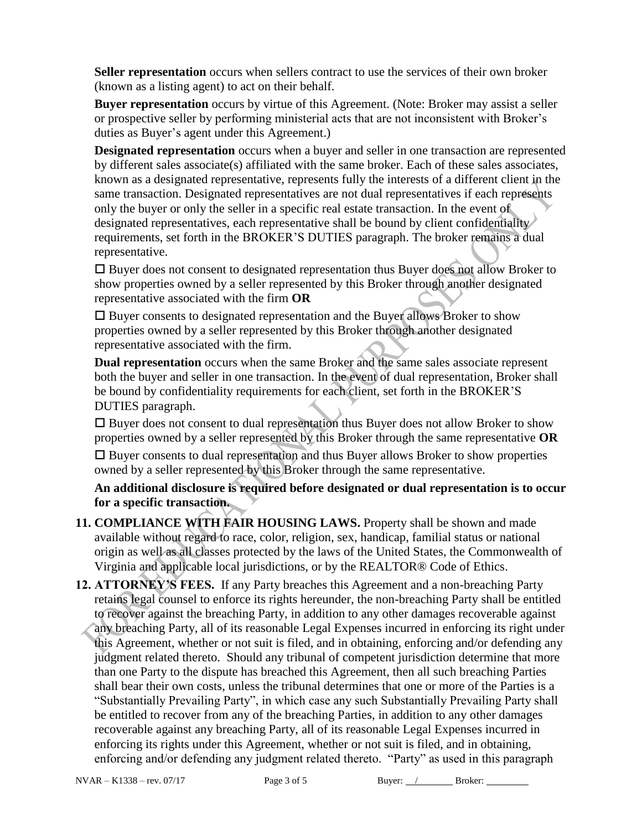**Seller representation** occurs when sellers contract to use the services of their own broker (known as a listing agent) to act on their behalf.

**Buyer representation** occurs by virtue of this Agreement. (Note: Broker may assist a seller or prospective seller by performing ministerial acts that are not inconsistent with Broker's duties as Buyer's agent under this Agreement.)

**Designated representation** occurs when a buyer and seller in one transaction are represented by different sales associate(s) affiliated with the same broker. Each of these sales associates, known as a designated representative, represents fully the interests of a different client in the same transaction. Designated representatives are not dual representatives if each represents only the buyer or only the seller in a specific real estate transaction. In the event of designated representatives, each representative shall be bound by client confidentiality requirements, set forth in the BROKER'S DUTIES paragraph. The broker remains a dual representative.

 $\square$  Buyer does not consent to designated representation thus Buyer does not allow Broker to show properties owned by a seller represented by this Broker through another designated representative associated with the firm **OR**

 $\square$  Buyer consents to designated representation and the Buyer allows Broker to show properties owned by a seller represented by this Broker through another designated representative associated with the firm.

**Dual representation** occurs when the same Broker and the same sales associate represent both the buyer and seller in one transaction. In the event of dual representation, Broker shall be bound by confidentiality requirements for each client, set forth in the BROKER'S DUTIES paragraph.

 $\square$  Buyer does not consent to dual representation thus Buyer does not allow Broker to show properties owned by a seller represented by this Broker through the same representative **OR**

 $\Box$  Buyer consents to dual representation and thus Buyer allows Broker to show properties owned by a seller represented by this Broker through the same representative.

**An additional disclosure is required before designated or dual representation is to occur for a specific transaction.**

- **11. COMPLIANCE WITH FAIR HOUSING LAWS.** Property shall be shown and made available without regard to race, color, religion, sex, handicap, familial status or national origin as well as all classes protected by the laws of the United States, the Commonwealth of Virginia and applicable local jurisdictions, or by the REALTOR® Code of Ethics.
- **12. ATTORNEY'S FEES.** If any Party breaches this Agreement and a non-breaching Party retains legal counsel to enforce its rights hereunder, the non-breaching Party shall be entitled to recover against the breaching Party, in addition to any other damages recoverable against any breaching Party, all of its reasonable Legal Expenses incurred in enforcing its right under this Agreement, whether or not suit is filed, and in obtaining, enforcing and/or defending any judgment related thereto. Should any tribunal of competent jurisdiction determine that more than one Party to the dispute has breached this Agreement, then all such breaching Parties shall bear their own costs, unless the tribunal determines that one or more of the Parties is a "Substantially Prevailing Party", in which case any such Substantially Prevailing Party shall be entitled to recover from any of the breaching Parties, in addition to any other damages recoverable against any breaching Party, all of its reasonable Legal Expenses incurred in enforcing its rights under this Agreement, whether or not suit is filed, and in obtaining, enforcing and/or defending any judgment related thereto. "Party" as used in this paragraph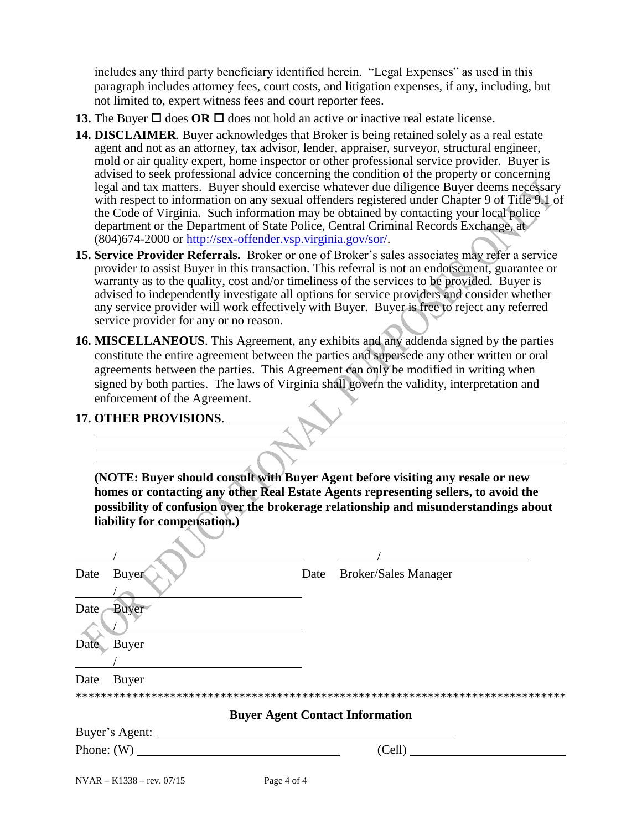includes any third party beneficiary identified herein. "Legal Expenses" as used in this paragraph includes attorney fees, court costs, and litigation expenses, if any, including, but not limited to, expert witness fees and court reporter fees.

- **13.** The Buyer  $\Box$  does **OR**  $\Box$  does not hold an active or inactive real estate license.
- **14. DISCLAIMER**. Buyer acknowledges that Broker is being retained solely as a real estate agent and not as an attorney, tax advisor, lender, appraiser, surveyor, structural engineer, mold or air quality expert, home inspector or other professional service provider. Buyer is advised to seek professional advice concerning the condition of the property or concerning legal and tax matters. Buyer should exercise whatever due diligence Buyer deems necessary with respect to information on any sexual offenders registered under Chapter 9 of Title 9.1 of the Code of Virginia. Such information may be obtained by contacting your local police department or the Department of State Police, Central Criminal Records Exchange, at (804)674-2000 or [http://sex-offender.vsp.virginia.gov/sor/.](http://sex-offender.vsp.virginia.gov/sor/)
- **15. Service Provider Referrals.** Broker or one of Broker's sales associates may refer a service provider to assist Buyer in this transaction. This referral is not an endorsement, guarantee or warranty as to the quality, cost and/or timeliness of the services to be provided. Buyer is advised to independently investigate all options for service providers and consider whether any service provider will work effectively with Buyer. Buyer is free to reject any referred service provider for any or no reason.
- **16. MISCELLANEOUS**. This Agreement, any exhibits and any addenda signed by the parties constitute the entire agreement between the parties and supersede any other written or oral agreements between the parties. This Agreement can only be modified in writing when signed by both parties. The laws of Virginia shall govern the validity, interpretation and enforcement of the Agreement.

## **17. OTHER PROVISIONS**.

**(NOTE: Buyer should consult with Buyer Agent before visiting any resale or new homes or contacting any other Real Estate Agents representing sellers, to avoid the possibility of confusion over the brokerage relationship and misunderstandings about liability for compensation.)**

| Date | <b>Buyer</b>                                                                    | Date | <b>Broker/Sales Manager</b>            |
|------|---------------------------------------------------------------------------------|------|----------------------------------------|
| Date | <b>Buyer</b>                                                                    |      |                                        |
| Date | Buyer                                                                           |      |                                        |
| Date | Buyer                                                                           |      |                                        |
|      |                                                                                 |      |                                        |
|      |                                                                                 |      | <b>Buyer Agent Contact Information</b> |
|      | Buyer's Agent:                                                                  |      |                                        |
|      |                                                                                 |      | (Cell)                                 |
|      | $NTIAD = IZ1220$ $07/15$<br>$\mathbf{D}$ $\mathbf{A}$ $\mathbf{C}$ $\mathbf{A}$ |      |                                        |